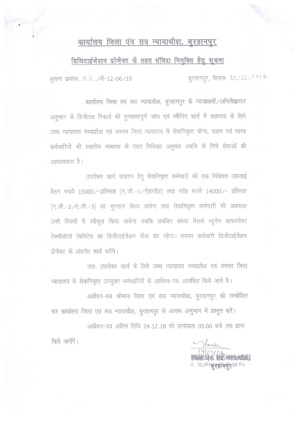## कार्यालय जिला एंव सत्र न्यायाधीश, बुरहानपुर

## डिजिटाईजेशन प्रोजेक्ट के तहत संविदा नियुक्ति हेतु सूचना

बुरहानपुर, दिनांक .14.:12.: 2 ० । ४. सूचना क्रमांक.. . . . . / दो-12-06/18

कार्यालय जिला एवं सत्र न्यायाधीश, बुरहानपुर के न्यायालयों /अभिलेखागार अनुभाग के डिजीटल रिकार्ड की गुणवत्तापूर्ण जांच एवं स्कैनिंग कार्य में सहायता के लिये उच्च न्यायालय मध्यप्रदेश एवं समस्त जिला न्यायालय से सेवानिवृत्त योग्य, सक्षम एवं स्वस्थ कर्मचारियों की स्थानीय व्यवस्था के तहत निश्चित अनुबंध अवधि के लिये सेवाओं की आवश्यकता है।

उपरोक्त कार्य संपादन हेतू सेवानिवृत्त कर्मचारी को एक निश्चित एकजाई वेतन रूपये 15000/-प्रतिमाह (ए.जी.-1/रीडरग्रेड) तथा राशि रूपये 14000/- प्रतिमाह (ए.जी.-2/ए.जी.-3) का भुगतान किया जावेगा तथा सेवानिवृत्त कर्मचारी को अवकाश उन्ही दिवसों में स्वीकृत किया जावेगा जबकि संबंधित संस्था मेंसर्स न्यूजेन साफटवेयर टेक्नॉलॉजी लिमिटेड का डिजीटाईजेशन केंन्द्र बंद रहेगा। समस्त कर्मचारी डिजीटाईजेशन प्रोजेक्ट के अंतर्गत कार्य करेंगे।

अतः उपरोक्त कार्य के लिये उच्च न्यायालय मध्यप्रदेश एवं समस्त जिला न्यायालय से सेवानिवृत्त उपयुक्त कर्मचारियों के आवेदन-पत्र आमंत्रित किये जाते है।

आवेदन-पत्र श्रीमान जिला एवं सत्र न्यायाधीश, बुरहानपुर को सम्बोधित कर कार्यालय जिला एवं सत्र न्यायाधीश, बुरहानपुर के आवक अनुभाग में प्रस्तुत करें।

आवेदन-पत्र अंतिम तिथि 24.12.18 को सायंकाल 05:00 बजे तक प्राप्त

Harschr 2 BURHOLOMP)

किये जायेंगे।